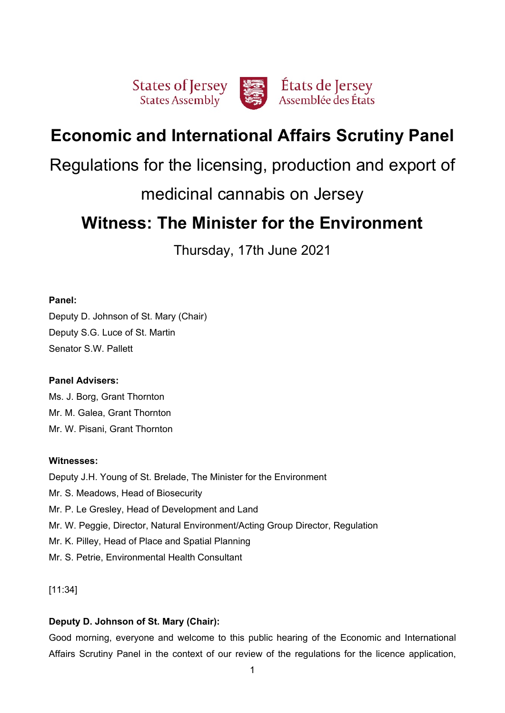

# **Economic and International Affairs Scrutiny Panel**

# Regulations for the licensing, production and export of

# medicinal cannabis on Jersey

# **Witness: The Minister for the Environment**

Thursday, 17th June 2021

# **Panel:**

Deputy D. Johnson of St. Mary (Chair) Deputy S.G. Luce of St. Martin Senator S.W. Pallett

# **Panel Advisers:**

Ms. J. Borg, Grant Thornton Mr. M. Galea, Grant Thornton Mr. W. Pisani, Grant Thornton

# **Witnesses:**

Deputy J.H. Young of St. Brelade, The Minister for the Environment Mr. S. Meadows, Head of Biosecurity Mr. P. Le Gresley, Head of Development and Land Mr. W. Peggie, Director, Natural Environment/Acting Group Director, Regulation Mr. K. Pilley, Head of Place and Spatial Planning Mr. S. Petrie, Environmental Health Consultant

[11:34]

# **Deputy D. Johnson of St. Mary (Chair):**

Good morning, everyone and welcome to this public hearing of the Economic and International Affairs Scrutiny Panel in the context of our review of the regulations for the licence application,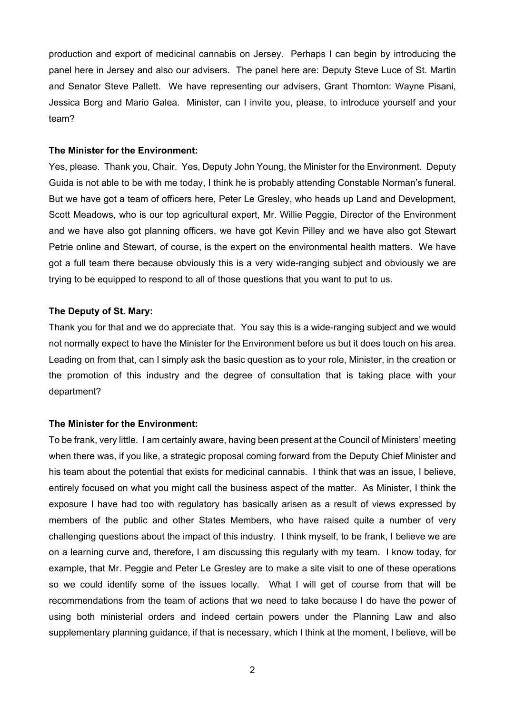production and export of medicinal cannabis on Jersey. Perhaps I can begin by introducing the panel here in Jersey and also our advisers. The panel here are: Deputy Steve Luce of St. Martin and Senator Steve Pallett. We have representing our advisers, Grant Thornton: Wayne Pisani, Jessica Borg and Mario Galea. Minister, can I invite you, please, to introduce yourself and your team?

#### **The Minister for the Environment:**

Yes, please. Thank you, Chair. Yes, Deputy John Young, the Minister for the Environment. Deputy Guida is not able to be with me today, I think he is probably attending Constable Norman's funeral. But we have got a team of officers here, Peter Le Gresley, who heads up Land and Development, Scott Meadows, who is our top agricultural expert, Mr. Willie Peggie, Director of the Environment and we have also got planning officers, we have got Kevin Pilley and we have also got Stewart Petrie online and Stewart, of course, is the expert on the environmental health matters. We have got a full team there because obviously this is a very wide-ranging subject and obviously we are trying to be equipped to respond to all of those questions that you want to put to us.

## **The Deputy of St. Mary:**

Thank you for that and we do appreciate that. You say this is a wide-ranging subject and we would not normally expect to have the Minister for the Environment before us but it does touch on his area. Leading on from that, can I simply ask the basic question as to your role, Minister, in the creation or the promotion of this industry and the degree of consultation that is taking place with your department?

### **The Minister for the Environment:**

To be frank, very little. I am certainly aware, having been present at the Council of Ministers' meeting when there was, if you like, a strategic proposal coming forward from the Deputy Chief Minister and his team about the potential that exists for medicinal cannabis. I think that was an issue, I believe, entirely focused on what you might call the business aspect of the matter. As Minister, I think the exposure I have had too with regulatory has basically arisen as a result of views expressed by members of the public and other States Members, who have raised quite a number of very challenging questions about the impact of this industry. I think myself, to be frank, I believe we are on a learning curve and, therefore, I am discussing this regularly with my team. I know today, for example, that Mr. Peggie and Peter Le Gresley are to make a site visit to one of these operations so we could identify some of the issues locally. What I will get of course from that will be recommendations from the team of actions that we need to take because I do have the power of using both ministerial orders and indeed certain powers under the Planning Law and also supplementary planning guidance, if that is necessary, which I think at the moment, I believe, will be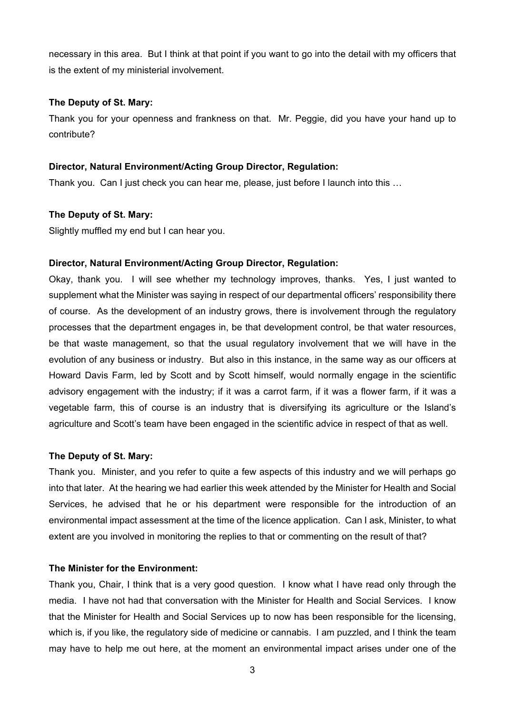necessary in this area. But I think at that point if you want to go into the detail with my officers that is the extent of my ministerial involvement.

### **The Deputy of St. Mary:**

Thank you for your openness and frankness on that. Mr. Peggie, did you have your hand up to contribute?

#### **Director, Natural Environment/Acting Group Director, Regulation:**

Thank you. Can I just check you can hear me, please, just before I launch into this …

#### **The Deputy of St. Mary:**

Slightly muffled my end but I can hear you.

## **Director, Natural Environment/Acting Group Director, Regulation:**

Okay, thank you. I will see whether my technology improves, thanks. Yes, I just wanted to supplement what the Minister was saying in respect of our departmental officers' responsibility there of course. As the development of an industry grows, there is involvement through the regulatory processes that the department engages in, be that development control, be that water resources, be that waste management, so that the usual regulatory involvement that we will have in the evolution of any business or industry. But also in this instance, in the same way as our officers at Howard Davis Farm, led by Scott and by Scott himself, would normally engage in the scientific advisory engagement with the industry; if it was a carrot farm, if it was a flower farm, if it was a vegetable farm, this of course is an industry that is diversifying its agriculture or the Island's agriculture and Scott's team have been engaged in the scientific advice in respect of that as well.

#### **The Deputy of St. Mary:**

Thank you. Minister, and you refer to quite a few aspects of this industry and we will perhaps go into that later. At the hearing we had earlier this week attended by the Minister for Health and Social Services, he advised that he or his department were responsible for the introduction of an environmental impact assessment at the time of the licence application. Can I ask, Minister, to what extent are you involved in monitoring the replies to that or commenting on the result of that?

#### **The Minister for the Environment:**

Thank you, Chair, I think that is a very good question. I know what I have read only through the media. I have not had that conversation with the Minister for Health and Social Services. I know that the Minister for Health and Social Services up to now has been responsible for the licensing, which is, if you like, the regulatory side of medicine or cannabis. I am puzzled, and I think the team may have to help me out here, at the moment an environmental impact arises under one of the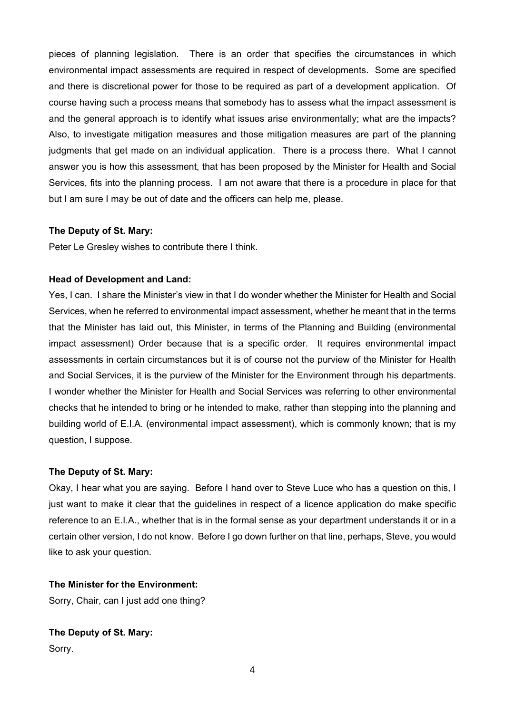pieces of planning legislation. There is an order that specifies the circumstances in which environmental impact assessments are required in respect of developments. Some are specified and there is discretional power for those to be required as part of a development application. Of course having such a process means that somebody has to assess what the impact assessment is and the general approach is to identify what issues arise environmentally; what are the impacts? Also, to investigate mitigation measures and those mitigation measures are part of the planning judgments that get made on an individual application. There is a process there. What I cannot answer you is how this assessment, that has been proposed by the Minister for Health and Social Services, fits into the planning process. I am not aware that there is a procedure in place for that but I am sure I may be out of date and the officers can help me, please.

#### **The Deputy of St. Mary:**

Peter Le Gresley wishes to contribute there I think.

## **Head of Development and Land:**

Yes, I can. I share the Minister's view in that I do wonder whether the Minister for Health and Social Services, when he referred to environmental impact assessment, whether he meant that in the terms that the Minister has laid out, this Minister, in terms of the Planning and Building (environmental impact assessment) Order because that is a specific order. It requires environmental impact assessments in certain circumstances but it is of course not the purview of the Minister for Health and Social Services, it is the purview of the Minister for the Environment through his departments. I wonder whether the Minister for Health and Social Services was referring to other environmental checks that he intended to bring or he intended to make, rather than stepping into the planning and building world of E.I.A. (environmental impact assessment), which is commonly known; that is my question, I suppose.

# **The Deputy of St. Mary:**

Okay, I hear what you are saying. Before I hand over to Steve Luce who has a question on this, I just want to make it clear that the guidelines in respect of a licence application do make specific reference to an E.I.A., whether that is in the formal sense as your department understands it or in a certain other version, I do not know. Before I go down further on that line, perhaps, Steve, you would like to ask your question.

# **The Minister for the Environment:**

Sorry, Chair, can I just add one thing?

**The Deputy of St. Mary:**  Sorry.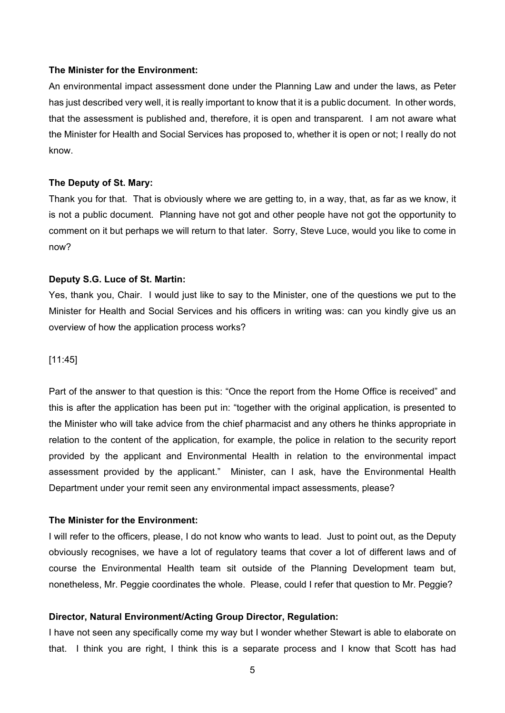#### **The Minister for the Environment:**

An environmental impact assessment done under the Planning Law and under the laws, as Peter has just described very well, it is really important to know that it is a public document. In other words, that the assessment is published and, therefore, it is open and transparent. I am not aware what the Minister for Health and Social Services has proposed to, whether it is open or not; I really do not know.

#### **The Deputy of St. Mary:**

Thank you for that. That is obviously where we are getting to, in a way, that, as far as we know, it is not a public document. Planning have not got and other people have not got the opportunity to comment on it but perhaps we will return to that later. Sorry, Steve Luce, would you like to come in now?

#### **Deputy S.G. Luce of St. Martin:**

Yes, thank you, Chair. I would just like to say to the Minister, one of the questions we put to the Minister for Health and Social Services and his officers in writing was: can you kindly give us an overview of how the application process works?

#### [11:45]

Part of the answer to that question is this: "Once the report from the Home Office is received" and this is after the application has been put in: "together with the original application, is presented to the Minister who will take advice from the chief pharmacist and any others he thinks appropriate in relation to the content of the application, for example, the police in relation to the security report provided by the applicant and Environmental Health in relation to the environmental impact assessment provided by the applicant." Minister, can I ask, have the Environmental Health Department under your remit seen any environmental impact assessments, please?

#### **The Minister for the Environment:**

I will refer to the officers, please, I do not know who wants to lead. Just to point out, as the Deputy obviously recognises, we have a lot of regulatory teams that cover a lot of different laws and of course the Environmental Health team sit outside of the Planning Development team but, nonetheless, Mr. Peggie coordinates the whole. Please, could I refer that question to Mr. Peggie?

#### **Director, Natural Environment/Acting Group Director, Regulation:**

I have not seen any specifically come my way but I wonder whether Stewart is able to elaborate on that. I think you are right, I think this is a separate process and I know that Scott has had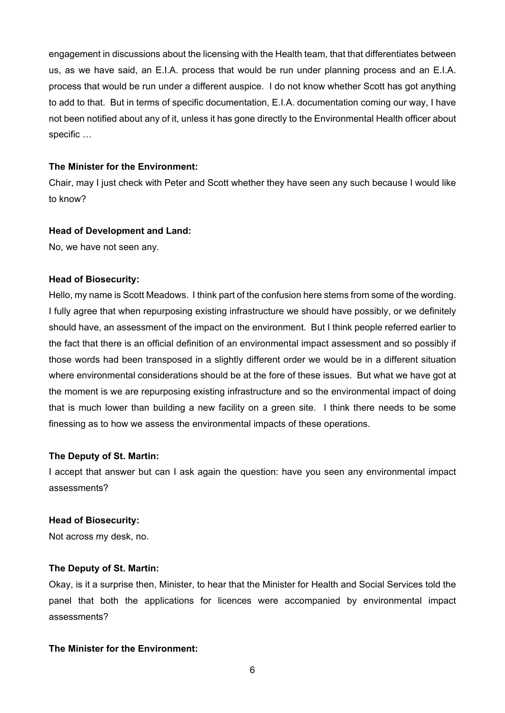engagement in discussions about the licensing with the Health team, that that differentiates between us, as we have said, an E.I.A. process that would be run under planning process and an E.I.A. process that would be run under a different auspice. I do not know whether Scott has got anything to add to that. But in terms of specific documentation, E.I.A. documentation coming our way, I have not been notified about any of it, unless it has gone directly to the Environmental Health officer about specific …

#### **The Minister for the Environment:**

Chair, may I just check with Peter and Scott whether they have seen any such because I would like to know?

#### **Head of Development and Land:**

No, we have not seen any.

#### **Head of Biosecurity:**

Hello, my name is Scott Meadows. I think part of the confusion here stems from some of the wording. I fully agree that when repurposing existing infrastructure we should have possibly, or we definitely should have, an assessment of the impact on the environment. But I think people referred earlier to the fact that there is an official definition of an environmental impact assessment and so possibly if those words had been transposed in a slightly different order we would be in a different situation where environmental considerations should be at the fore of these issues. But what we have got at the moment is we are repurposing existing infrastructure and so the environmental impact of doing that is much lower than building a new facility on a green site. I think there needs to be some finessing as to how we assess the environmental impacts of these operations.

#### **The Deputy of St. Martin:**

I accept that answer but can I ask again the question: have you seen any environmental impact assessments?

#### **Head of Biosecurity:**

Not across my desk, no.

#### **The Deputy of St. Martin:**

Okay, is it a surprise then, Minister, to hear that the Minister for Health and Social Services told the panel that both the applications for licences were accompanied by environmental impact assessments?

#### **The Minister for the Environment:**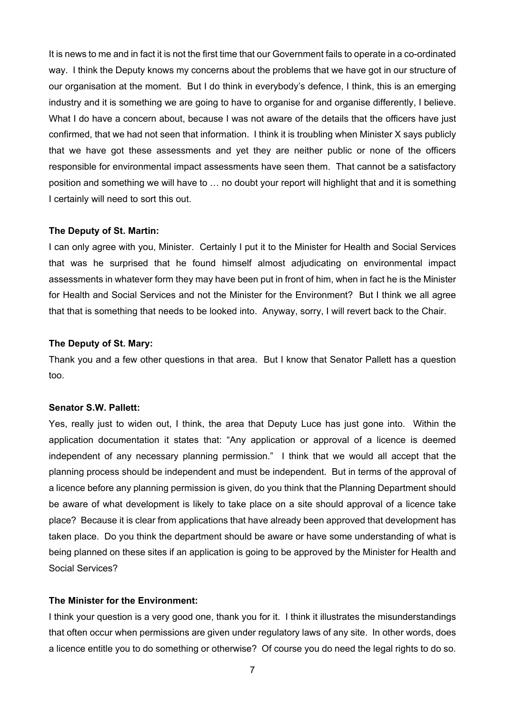It is news to me and in fact it is not the first time that our Government fails to operate in a co-ordinated way. I think the Deputy knows my concerns about the problems that we have got in our structure of our organisation at the moment. But I do think in everybody's defence, I think, this is an emerging industry and it is something we are going to have to organise for and organise differently, I believe. What I do have a concern about, because I was not aware of the details that the officers have just confirmed, that we had not seen that information. I think it is troubling when Minister X says publicly that we have got these assessments and yet they are neither public or none of the officers responsible for environmental impact assessments have seen them. That cannot be a satisfactory position and something we will have to … no doubt your report will highlight that and it is something I certainly will need to sort this out.

## **The Deputy of St. Martin:**

I can only agree with you, Minister. Certainly I put it to the Minister for Health and Social Services that was he surprised that he found himself almost adjudicating on environmental impact assessments in whatever form they may have been put in front of him, when in fact he is the Minister for Health and Social Services and not the Minister for the Environment? But I think we all agree that that is something that needs to be looked into. Anyway, sorry, I will revert back to the Chair.

## **The Deputy of St. Mary:**

Thank you and a few other questions in that area. But I know that Senator Pallett has a question too.

#### **Senator S.W. Pallett:**

Yes, really just to widen out, I think, the area that Deputy Luce has just gone into. Within the application documentation it states that: "Any application or approval of a licence is deemed independent of any necessary planning permission." I think that we would all accept that the planning process should be independent and must be independent. But in terms of the approval of a licence before any planning permission is given, do you think that the Planning Department should be aware of what development is likely to take place on a site should approval of a licence take place? Because it is clear from applications that have already been approved that development has taken place. Do you think the department should be aware or have some understanding of what is being planned on these sites if an application is going to be approved by the Minister for Health and Social Services?

## **The Minister for the Environment:**

I think your question is a very good one, thank you for it. I think it illustrates the misunderstandings that often occur when permissions are given under regulatory laws of any site. In other words, does a licence entitle you to do something or otherwise? Of course you do need the legal rights to do so.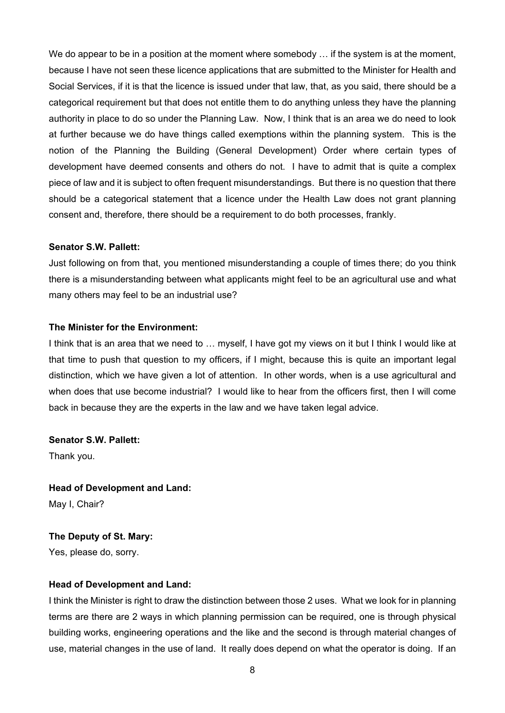We do appear to be in a position at the moment where somebody  $\ldots$  if the system is at the moment, because I have not seen these licence applications that are submitted to the Minister for Health and Social Services, if it is that the licence is issued under that law, that, as you said, there should be a categorical requirement but that does not entitle them to do anything unless they have the planning authority in place to do so under the Planning Law. Now, I think that is an area we do need to look at further because we do have things called exemptions within the planning system. This is the notion of the Planning the Building (General Development) Order where certain types of development have deemed consents and others do not. I have to admit that is quite a complex piece of law and it is subject to often frequent misunderstandings. But there is no question that there should be a categorical statement that a licence under the Health Law does not grant planning consent and, therefore, there should be a requirement to do both processes, frankly.

#### **Senator S.W. Pallett:**

Just following on from that, you mentioned misunderstanding a couple of times there; do you think there is a misunderstanding between what applicants might feel to be an agricultural use and what many others may feel to be an industrial use?

#### **The Minister for the Environment:**

I think that is an area that we need to … myself, I have got my views on it but I think I would like at that time to push that question to my officers, if I might, because this is quite an important legal distinction, which we have given a lot of attention. In other words, when is a use agricultural and when does that use become industrial? I would like to hear from the officers first, then I will come back in because they are the experts in the law and we have taken legal advice.

**Senator S.W. Pallett:** 

Thank you.

**Head of Development and Land:**  May I, Chair?

**The Deputy of St. Mary:**  Yes, please do, sorry.

#### **Head of Development and Land:**

I think the Minister is right to draw the distinction between those 2 uses. What we look for in planning terms are there are 2 ways in which planning permission can be required, one is through physical building works, engineering operations and the like and the second is through material changes of use, material changes in the use of land. It really does depend on what the operator is doing. If an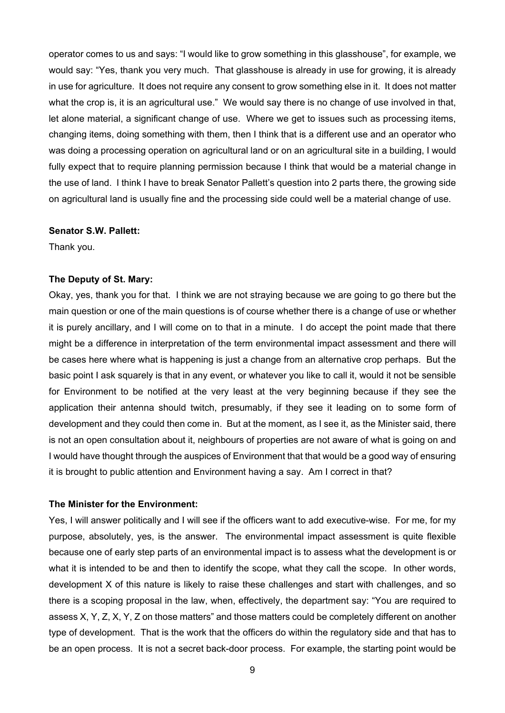operator comes to us and says: "I would like to grow something in this glasshouse", for example, we would say: "Yes, thank you very much. That glasshouse is already in use for growing, it is already in use for agriculture. It does not require any consent to grow something else in it. It does not matter what the crop is, it is an agricultural use." We would say there is no change of use involved in that, let alone material, a significant change of use. Where we get to issues such as processing items, changing items, doing something with them, then I think that is a different use and an operator who was doing a processing operation on agricultural land or on an agricultural site in a building, I would fully expect that to require planning permission because I think that would be a material change in the use of land. I think I have to break Senator Pallett's question into 2 parts there, the growing side on agricultural land is usually fine and the processing side could well be a material change of use.

#### **Senator S.W. Pallett:**

Thank you.

## **The Deputy of St. Mary:**

Okay, yes, thank you for that. I think we are not straying because we are going to go there but the main question or one of the main questions is of course whether there is a change of use or whether it is purely ancillary, and I will come on to that in a minute. I do accept the point made that there might be a difference in interpretation of the term environmental impact assessment and there will be cases here where what is happening is just a change from an alternative crop perhaps. But the basic point I ask squarely is that in any event, or whatever you like to call it, would it not be sensible for Environment to be notified at the very least at the very beginning because if they see the application their antenna should twitch, presumably, if they see it leading on to some form of development and they could then come in. But at the moment, as I see it, as the Minister said, there is not an open consultation about it, neighbours of properties are not aware of what is going on and I would have thought through the auspices of Environment that that would be a good way of ensuring it is brought to public attention and Environment having a say. Am I correct in that?

#### **The Minister for the Environment:**

Yes, I will answer politically and I will see if the officers want to add executive-wise. For me, for my purpose, absolutely, yes, is the answer. The environmental impact assessment is quite flexible because one of early step parts of an environmental impact is to assess what the development is or what it is intended to be and then to identify the scope, what they call the scope. In other words, development X of this nature is likely to raise these challenges and start with challenges, and so there is a scoping proposal in the law, when, effectively, the department say: "You are required to assess X, Y, Z, X, Y, Z on those matters" and those matters could be completely different on another type of development. That is the work that the officers do within the regulatory side and that has to be an open process. It is not a secret back-door process. For example, the starting point would be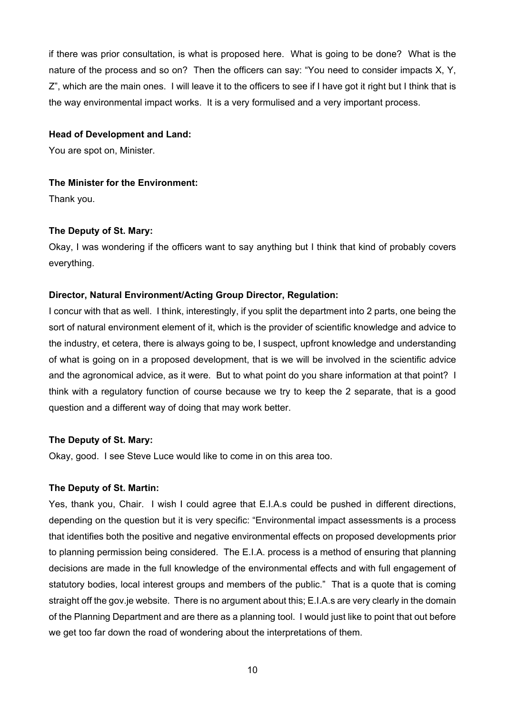if there was prior consultation, is what is proposed here. What is going to be done? What is the nature of the process and so on? Then the officers can say: "You need to consider impacts X, Y, Z", which are the main ones. I will leave it to the officers to see if I have got it right but I think that is the way environmental impact works. It is a very formulised and a very important process.

#### **Head of Development and Land:**

You are spot on, Minister.

# **The Minister for the Environment:**

Thank you.

# **The Deputy of St. Mary:**

Okay, I was wondering if the officers want to say anything but I think that kind of probably covers everything.

# **Director, Natural Environment/Acting Group Director, Regulation:**

I concur with that as well. I think, interestingly, if you split the department into 2 parts, one being the sort of natural environment element of it, which is the provider of scientific knowledge and advice to the industry, et cetera, there is always going to be, I suspect, upfront knowledge and understanding of what is going on in a proposed development, that is we will be involved in the scientific advice and the agronomical advice, as it were. But to what point do you share information at that point? I think with a regulatory function of course because we try to keep the 2 separate, that is a good question and a different way of doing that may work better.

# **The Deputy of St. Mary:**

Okay, good. I see Steve Luce would like to come in on this area too.

# **The Deputy of St. Martin:**

Yes, thank you, Chair. I wish I could agree that E.I.A.s could be pushed in different directions, depending on the question but it is very specific: "Environmental impact assessments is a process that identifies both the positive and negative environmental effects on proposed developments prior to planning permission being considered. The E.I.A. process is a method of ensuring that planning decisions are made in the full knowledge of the environmental effects and with full engagement of statutory bodies, local interest groups and members of the public." That is a quote that is coming straight off the gov.je website. There is no argument about this; E.I.A.s are very clearly in the domain of the Planning Department and are there as a planning tool. I would just like to point that out before we get too far down the road of wondering about the interpretations of them.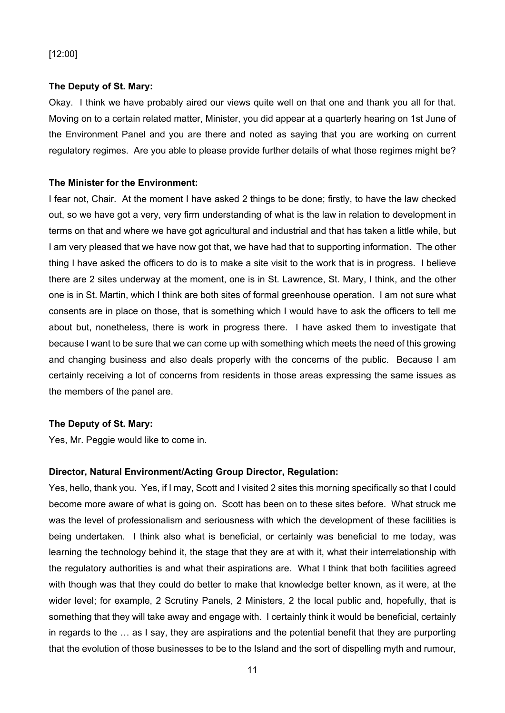# [12:00]

# **The Deputy of St. Mary:**

Okay. I think we have probably aired our views quite well on that one and thank you all for that. Moving on to a certain related matter, Minister, you did appear at a quarterly hearing on 1st June of the Environment Panel and you are there and noted as saying that you are working on current regulatory regimes. Are you able to please provide further details of what those regimes might be?

# **The Minister for the Environment:**

I fear not, Chair. At the moment I have asked 2 things to be done; firstly, to have the law checked out, so we have got a very, very firm understanding of what is the law in relation to development in terms on that and where we have got agricultural and industrial and that has taken a little while, but I am very pleased that we have now got that, we have had that to supporting information. The other thing I have asked the officers to do is to make a site visit to the work that is in progress. I believe there are 2 sites underway at the moment, one is in St. Lawrence, St. Mary, I think, and the other one is in St. Martin, which I think are both sites of formal greenhouse operation. I am not sure what consents are in place on those, that is something which I would have to ask the officers to tell me about but, nonetheless, there is work in progress there. I have asked them to investigate that because I want to be sure that we can come up with something which meets the need of this growing and changing business and also deals properly with the concerns of the public. Because I am certainly receiving a lot of concerns from residents in those areas expressing the same issues as the members of the panel are.

# **The Deputy of St. Mary:**

Yes, Mr. Peggie would like to come in.

# **Director, Natural Environment/Acting Group Director, Regulation:**

Yes, hello, thank you. Yes, if I may, Scott and I visited 2 sites this morning specifically so that I could become more aware of what is going on. Scott has been on to these sites before. What struck me was the level of professionalism and seriousness with which the development of these facilities is being undertaken. I think also what is beneficial, or certainly was beneficial to me today, was learning the technology behind it, the stage that they are at with it, what their interrelationship with the regulatory authorities is and what their aspirations are. What I think that both facilities agreed with though was that they could do better to make that knowledge better known, as it were, at the wider level; for example, 2 Scrutiny Panels, 2 Ministers, 2 the local public and, hopefully, that is something that they will take away and engage with. I certainly think it would be beneficial, certainly in regards to the … as I say, they are aspirations and the potential benefit that they are purporting that the evolution of those businesses to be to the Island and the sort of dispelling myth and rumour,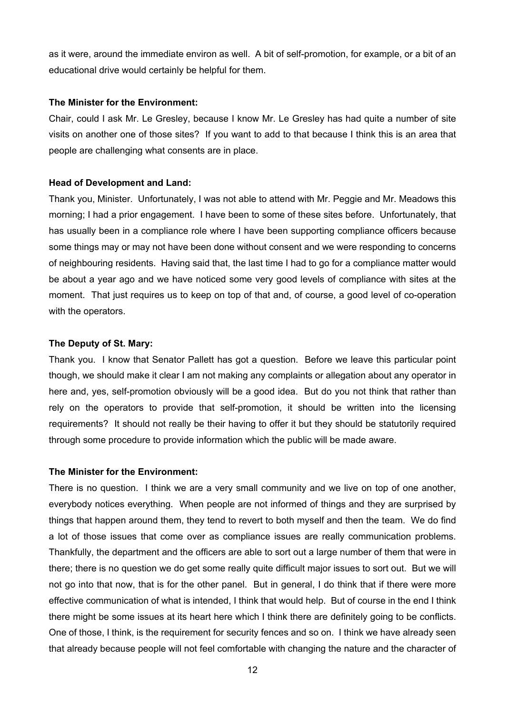as it were, around the immediate environ as well. A bit of self-promotion, for example, or a bit of an educational drive would certainly be helpful for them.

#### **The Minister for the Environment:**

Chair, could I ask Mr. Le Gresley, because I know Mr. Le Gresley has had quite a number of site visits on another one of those sites? If you want to add to that because I think this is an area that people are challenging what consents are in place.

#### **Head of Development and Land:**

Thank you, Minister. Unfortunately, I was not able to attend with Mr. Peggie and Mr. Meadows this morning; I had a prior engagement. I have been to some of these sites before. Unfortunately, that has usually been in a compliance role where I have been supporting compliance officers because some things may or may not have been done without consent and we were responding to concerns of neighbouring residents. Having said that, the last time I had to go for a compliance matter would be about a year ago and we have noticed some very good levels of compliance with sites at the moment. That just requires us to keep on top of that and, of course, a good level of co-operation with the operators.

# **The Deputy of St. Mary:**

Thank you. I know that Senator Pallett has got a question. Before we leave this particular point though, we should make it clear I am not making any complaints or allegation about any operator in here and, yes, self-promotion obviously will be a good idea. But do you not think that rather than rely on the operators to provide that self-promotion, it should be written into the licensing requirements? It should not really be their having to offer it but they should be statutorily required through some procedure to provide information which the public will be made aware.

#### **The Minister for the Environment:**

There is no question. I think we are a very small community and we live on top of one another, everybody notices everything. When people are not informed of things and they are surprised by things that happen around them, they tend to revert to both myself and then the team. We do find a lot of those issues that come over as compliance issues are really communication problems. Thankfully, the department and the officers are able to sort out a large number of them that were in there; there is no question we do get some really quite difficult major issues to sort out. But we will not go into that now, that is for the other panel. But in general, I do think that if there were more effective communication of what is intended, I think that would help. But of course in the end I think there might be some issues at its heart here which I think there are definitely going to be conflicts. One of those, I think, is the requirement for security fences and so on. I think we have already seen that already because people will not feel comfortable with changing the nature and the character of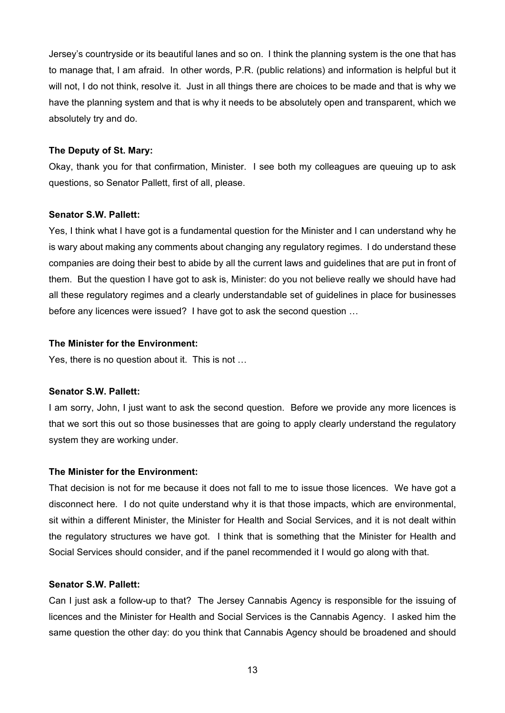Jersey's countryside or its beautiful lanes and so on. I think the planning system is the one that has to manage that, I am afraid. In other words, P.R. (public relations) and information is helpful but it will not, I do not think, resolve it. Just in all things there are choices to be made and that is why we have the planning system and that is why it needs to be absolutely open and transparent, which we absolutely try and do.

#### **The Deputy of St. Mary:**

Okay, thank you for that confirmation, Minister. I see both my colleagues are queuing up to ask questions, so Senator Pallett, first of all, please.

#### **Senator S.W. Pallett:**

Yes, I think what I have got is a fundamental question for the Minister and I can understand why he is wary about making any comments about changing any regulatory regimes. I do understand these companies are doing their best to abide by all the current laws and guidelines that are put in front of them. But the question I have got to ask is, Minister: do you not believe really we should have had all these regulatory regimes and a clearly understandable set of guidelines in place for businesses before any licences were issued? I have got to ask the second question …

#### **The Minister for the Environment:**

Yes, there is no question about it. This is not …

#### **Senator S.W. Pallett:**

I am sorry, John, I just want to ask the second question. Before we provide any more licences is that we sort this out so those businesses that are going to apply clearly understand the regulatory system they are working under.

#### **The Minister for the Environment:**

That decision is not for me because it does not fall to me to issue those licences. We have got a disconnect here. I do not quite understand why it is that those impacts, which are environmental, sit within a different Minister, the Minister for Health and Social Services, and it is not dealt within the regulatory structures we have got. I think that is something that the Minister for Health and Social Services should consider, and if the panel recommended it I would go along with that.

#### **Senator S.W. Pallett:**

Can I just ask a follow-up to that? The Jersey Cannabis Agency is responsible for the issuing of licences and the Minister for Health and Social Services is the Cannabis Agency. I asked him the same question the other day: do you think that Cannabis Agency should be broadened and should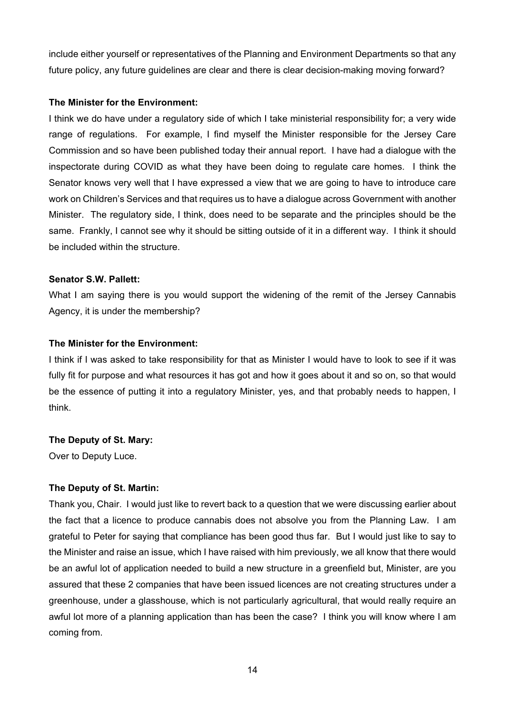include either yourself or representatives of the Planning and Environment Departments so that any future policy, any future guidelines are clear and there is clear decision-making moving forward?

## **The Minister for the Environment:**

I think we do have under a regulatory side of which I take ministerial responsibility for; a very wide range of regulations. For example, I find myself the Minister responsible for the Jersey Care Commission and so have been published today their annual report. I have had a dialogue with the inspectorate during COVID as what they have been doing to regulate care homes. I think the Senator knows very well that I have expressed a view that we are going to have to introduce care work on Children's Services and that requires us to have a dialogue across Government with another Minister. The regulatory side, I think, does need to be separate and the principles should be the same. Frankly, I cannot see why it should be sitting outside of it in a different way. I think it should be included within the structure.

## **Senator S.W. Pallett:**

What I am saying there is you would support the widening of the remit of the Jersey Cannabis Agency, it is under the membership?

## **The Minister for the Environment:**

I think if I was asked to take responsibility for that as Minister I would have to look to see if it was fully fit for purpose and what resources it has got and how it goes about it and so on, so that would be the essence of putting it into a regulatory Minister, yes, and that probably needs to happen, I think.

# **The Deputy of St. Mary:**

Over to Deputy Luce.

# **The Deputy of St. Martin:**

Thank you, Chair. I would just like to revert back to a question that we were discussing earlier about the fact that a licence to produce cannabis does not absolve you from the Planning Law. I am grateful to Peter for saying that compliance has been good thus far. But I would just like to say to the Minister and raise an issue, which I have raised with him previously, we all know that there would be an awful lot of application needed to build a new structure in a greenfield but, Minister, are you assured that these 2 companies that have been issued licences are not creating structures under a greenhouse, under a glasshouse, which is not particularly agricultural, that would really require an awful lot more of a planning application than has been the case? I think you will know where I am coming from.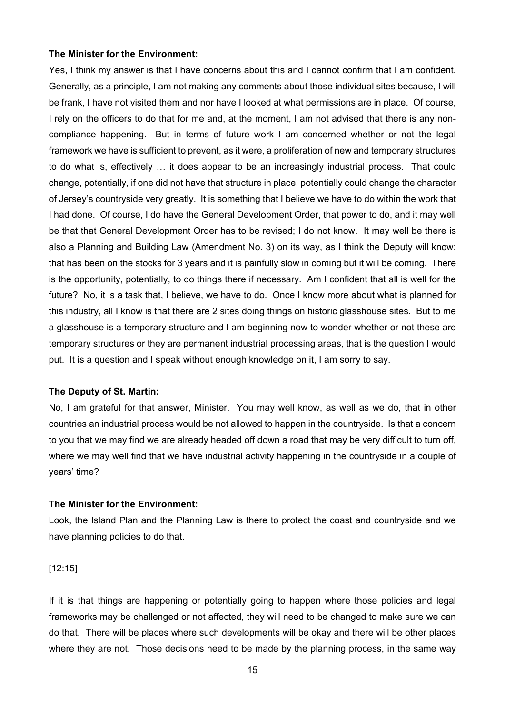#### **The Minister for the Environment:**

Yes, I think my answer is that I have concerns about this and I cannot confirm that I am confident. Generally, as a principle, I am not making any comments about those individual sites because, I will be frank, I have not visited them and nor have I looked at what permissions are in place. Of course, I rely on the officers to do that for me and, at the moment, I am not advised that there is any noncompliance happening. But in terms of future work I am concerned whether or not the legal framework we have is sufficient to prevent, as it were, a proliferation of new and temporary structures to do what is, effectively … it does appear to be an increasingly industrial process. That could change, potentially, if one did not have that structure in place, potentially could change the character of Jersey's countryside very greatly. It is something that I believe we have to do within the work that I had done. Of course, I do have the General Development Order, that power to do, and it may well be that that General Development Order has to be revised; I do not know. It may well be there is also a Planning and Building Law (Amendment No. 3) on its way, as I think the Deputy will know; that has been on the stocks for 3 years and it is painfully slow in coming but it will be coming. There is the opportunity, potentially, to do things there if necessary. Am I confident that all is well for the future? No, it is a task that, I believe, we have to do. Once I know more about what is planned for this industry, all I know is that there are 2 sites doing things on historic glasshouse sites. But to me a glasshouse is a temporary structure and I am beginning now to wonder whether or not these are temporary structures or they are permanent industrial processing areas, that is the question I would put. It is a question and I speak without enough knowledge on it, I am sorry to say.

#### **The Deputy of St. Martin:**

No, I am grateful for that answer, Minister. You may well know, as well as we do, that in other countries an industrial process would be not allowed to happen in the countryside. Is that a concern to you that we may find we are already headed off down a road that may be very difficult to turn off, where we may well find that we have industrial activity happening in the countryside in a couple of years' time?

#### **The Minister for the Environment:**

Look, the Island Plan and the Planning Law is there to protect the coast and countryside and we have planning policies to do that.

[12:15]

If it is that things are happening or potentially going to happen where those policies and legal frameworks may be challenged or not affected, they will need to be changed to make sure we can do that. There will be places where such developments will be okay and there will be other places where they are not. Those decisions need to be made by the planning process, in the same way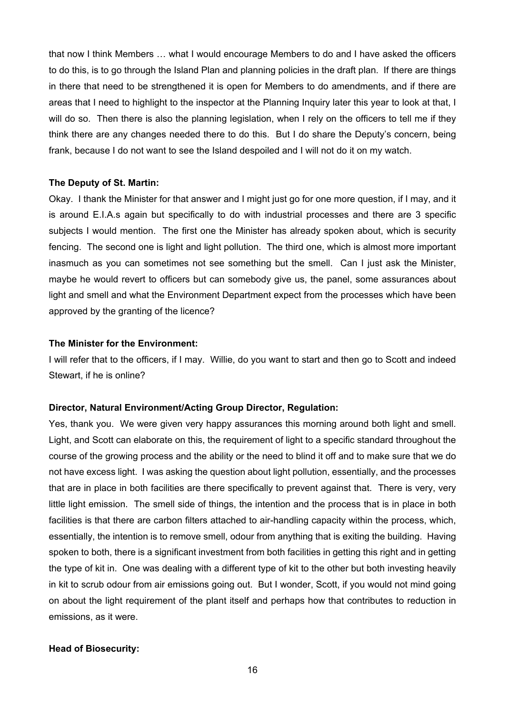that now I think Members … what I would encourage Members to do and I have asked the officers to do this, is to go through the Island Plan and planning policies in the draft plan. If there are things in there that need to be strengthened it is open for Members to do amendments, and if there are areas that I need to highlight to the inspector at the Planning Inquiry later this year to look at that, I will do so. Then there is also the planning legislation, when I rely on the officers to tell me if they think there are any changes needed there to do this. But I do share the Deputy's concern, being frank, because I do not want to see the Island despoiled and I will not do it on my watch.

#### **The Deputy of St. Martin:**

Okay. I thank the Minister for that answer and I might just go for one more question, if I may, and it is around E.I.A.s again but specifically to do with industrial processes and there are 3 specific subjects I would mention. The first one the Minister has already spoken about, which is security fencing. The second one is light and light pollution. The third one, which is almost more important inasmuch as you can sometimes not see something but the smell. Can I just ask the Minister, maybe he would revert to officers but can somebody give us, the panel, some assurances about light and smell and what the Environment Department expect from the processes which have been approved by the granting of the licence?

#### **The Minister for the Environment:**

I will refer that to the officers, if I may. Willie, do you want to start and then go to Scott and indeed Stewart, if he is online?

## **Director, Natural Environment/Acting Group Director, Regulation:**

Yes, thank you. We were given very happy assurances this morning around both light and smell. Light, and Scott can elaborate on this, the requirement of light to a specific standard throughout the course of the growing process and the ability or the need to blind it off and to make sure that we do not have excess light. I was asking the question about light pollution, essentially, and the processes that are in place in both facilities are there specifically to prevent against that. There is very, very little light emission. The smell side of things, the intention and the process that is in place in both facilities is that there are carbon filters attached to air-handling capacity within the process, which, essentially, the intention is to remove smell, odour from anything that is exiting the building. Having spoken to both, there is a significant investment from both facilities in getting this right and in getting the type of kit in. One was dealing with a different type of kit to the other but both investing heavily in kit to scrub odour from air emissions going out. But I wonder, Scott, if you would not mind going on about the light requirement of the plant itself and perhaps how that contributes to reduction in emissions, as it were.

#### **Head of Biosecurity:**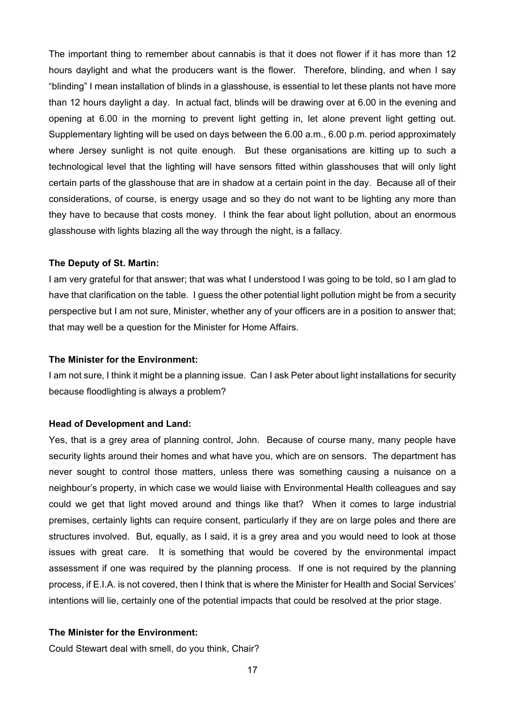The important thing to remember about cannabis is that it does not flower if it has more than 12 hours daylight and what the producers want is the flower. Therefore, blinding, and when I say "blinding" I mean installation of blinds in a glasshouse, is essential to let these plants not have more than 12 hours daylight a day. In actual fact, blinds will be drawing over at 6.00 in the evening and opening at 6.00 in the morning to prevent light getting in, let alone prevent light getting out. Supplementary lighting will be used on days between the 6.00 a.m., 6.00 p.m. period approximately where Jersey sunlight is not quite enough. But these organisations are kitting up to such a technological level that the lighting will have sensors fitted within glasshouses that will only light certain parts of the glasshouse that are in shadow at a certain point in the day. Because all of their considerations, of course, is energy usage and so they do not want to be lighting any more than they have to because that costs money. I think the fear about light pollution, about an enormous glasshouse with lights blazing all the way through the night, is a fallacy.

#### **The Deputy of St. Martin:**

I am very grateful for that answer; that was what I understood I was going to be told, so I am glad to have that clarification on the table. I guess the other potential light pollution might be from a security perspective but I am not sure, Minister, whether any of your officers are in a position to answer that; that may well be a question for the Minister for Home Affairs.

#### **The Minister for the Environment:**

I am not sure, I think it might be a planning issue. Can I ask Peter about light installations for security because floodlighting is always a problem?

# **Head of Development and Land:**

Yes, that is a grey area of planning control, John. Because of course many, many people have security lights around their homes and what have you, which are on sensors. The department has never sought to control those matters, unless there was something causing a nuisance on a neighbour's property, in which case we would liaise with Environmental Health colleagues and say could we get that light moved around and things like that? When it comes to large industrial premises, certainly lights can require consent, particularly if they are on large poles and there are structures involved. But, equally, as I said, it is a grey area and you would need to look at those issues with great care. It is something that would be covered by the environmental impact assessment if one was required by the planning process. If one is not required by the planning process, if E.I.A. is not covered, then I think that is where the Minister for Health and Social Services' intentions will lie, certainly one of the potential impacts that could be resolved at the prior stage.

#### **The Minister for the Environment:**

Could Stewart deal with smell, do you think, Chair?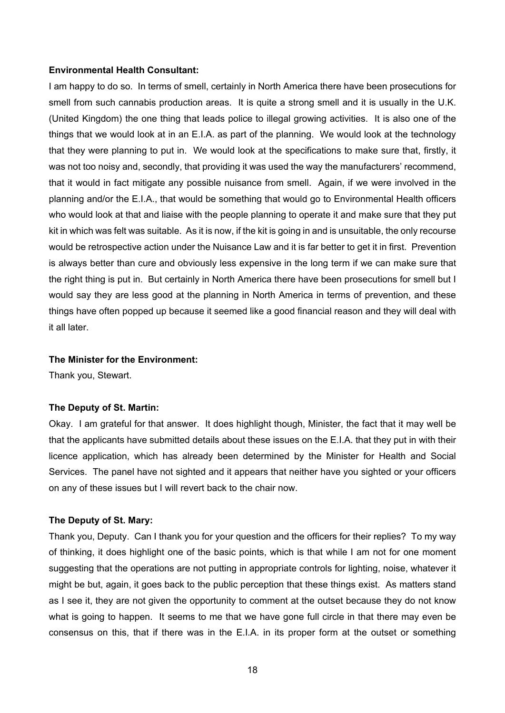#### **Environmental Health Consultant:**

I am happy to do so. In terms of smell, certainly in North America there have been prosecutions for smell from such cannabis production areas. It is quite a strong smell and it is usually in the U.K. (United Kingdom) the one thing that leads police to illegal growing activities. It is also one of the things that we would look at in an E.I.A. as part of the planning. We would look at the technology that they were planning to put in. We would look at the specifications to make sure that, firstly, it was not too noisy and, secondly, that providing it was used the way the manufacturers' recommend, that it would in fact mitigate any possible nuisance from smell. Again, if we were involved in the planning and/or the E.I.A., that would be something that would go to Environmental Health officers who would look at that and liaise with the people planning to operate it and make sure that they put kit in which was felt was suitable. As it is now, if the kit is going in and is unsuitable, the only recourse would be retrospective action under the Nuisance Law and it is far better to get it in first. Prevention is always better than cure and obviously less expensive in the long term if we can make sure that the right thing is put in. But certainly in North America there have been prosecutions for smell but I would say they are less good at the planning in North America in terms of prevention, and these things have often popped up because it seemed like a good financial reason and they will deal with it all later.

#### **The Minister for the Environment:**

Thank you, Stewart.

#### **The Deputy of St. Martin:**

Okay. I am grateful for that answer. It does highlight though, Minister, the fact that it may well be that the applicants have submitted details about these issues on the E.I.A. that they put in with their licence application, which has already been determined by the Minister for Health and Social Services. The panel have not sighted and it appears that neither have you sighted or your officers on any of these issues but I will revert back to the chair now.

#### **The Deputy of St. Mary:**

Thank you, Deputy. Can I thank you for your question and the officers for their replies? To my way of thinking, it does highlight one of the basic points, which is that while I am not for one moment suggesting that the operations are not putting in appropriate controls for lighting, noise, whatever it might be but, again, it goes back to the public perception that these things exist. As matters stand as I see it, they are not given the opportunity to comment at the outset because they do not know what is going to happen. It seems to me that we have gone full circle in that there may even be consensus on this, that if there was in the E.I.A. in its proper form at the outset or something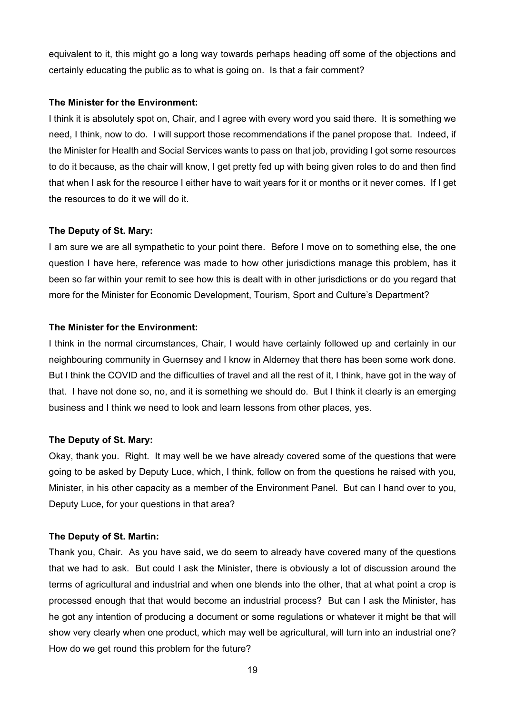equivalent to it, this might go a long way towards perhaps heading off some of the objections and certainly educating the public as to what is going on. Is that a fair comment?

## **The Minister for the Environment:**

I think it is absolutely spot on, Chair, and I agree with every word you said there. It is something we need, I think, now to do. I will support those recommendations if the panel propose that. Indeed, if the Minister for Health and Social Services wants to pass on that job, providing I got some resources to do it because, as the chair will know, I get pretty fed up with being given roles to do and then find that when I ask for the resource I either have to wait years for it or months or it never comes. If I get the resources to do it we will do it.

# **The Deputy of St. Mary:**

I am sure we are all sympathetic to your point there. Before I move on to something else, the one question I have here, reference was made to how other jurisdictions manage this problem, has it been so far within your remit to see how this is dealt with in other jurisdictions or do you regard that more for the Minister for Economic Development, Tourism, Sport and Culture's Department?

## **The Minister for the Environment:**

I think in the normal circumstances, Chair, I would have certainly followed up and certainly in our neighbouring community in Guernsey and I know in Alderney that there has been some work done. But I think the COVID and the difficulties of travel and all the rest of it, I think, have got in the way of that. I have not done so, no, and it is something we should do. But I think it clearly is an emerging business and I think we need to look and learn lessons from other places, yes.

# **The Deputy of St. Mary:**

Okay, thank you. Right. It may well be we have already covered some of the questions that were going to be asked by Deputy Luce, which, I think, follow on from the questions he raised with you, Minister, in his other capacity as a member of the Environment Panel. But can I hand over to you, Deputy Luce, for your questions in that area?

# **The Deputy of St. Martin:**

Thank you, Chair. As you have said, we do seem to already have covered many of the questions that we had to ask. But could I ask the Minister, there is obviously a lot of discussion around the terms of agricultural and industrial and when one blends into the other, that at what point a crop is processed enough that that would become an industrial process? But can I ask the Minister, has he got any intention of producing a document or some regulations or whatever it might be that will show very clearly when one product, which may well be agricultural, will turn into an industrial one? How do we get round this problem for the future?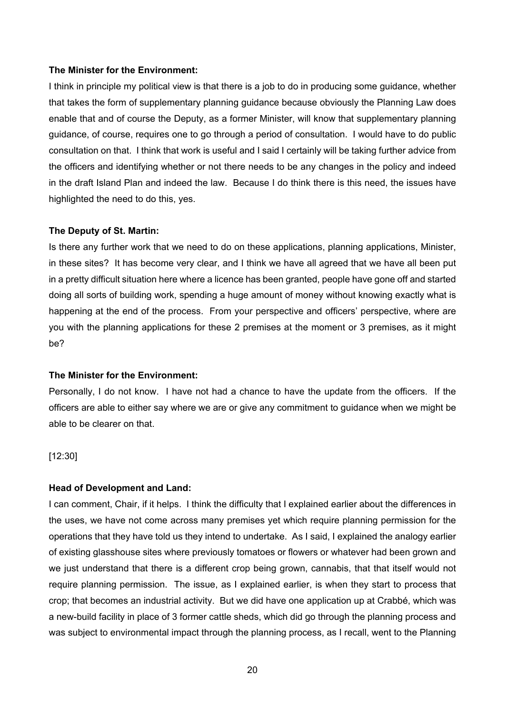#### **The Minister for the Environment:**

I think in principle my political view is that there is a job to do in producing some guidance, whether that takes the form of supplementary planning guidance because obviously the Planning Law does enable that and of course the Deputy, as a former Minister, will know that supplementary planning guidance, of course, requires one to go through a period of consultation. I would have to do public consultation on that. I think that work is useful and I said I certainly will be taking further advice from the officers and identifying whether or not there needs to be any changes in the policy and indeed in the draft Island Plan and indeed the law. Because I do think there is this need, the issues have highlighted the need to do this, yes.

#### **The Deputy of St. Martin:**

Is there any further work that we need to do on these applications, planning applications, Minister, in these sites? It has become very clear, and I think we have all agreed that we have all been put in a pretty difficult situation here where a licence has been granted, people have gone off and started doing all sorts of building work, spending a huge amount of money without knowing exactly what is happening at the end of the process. From your perspective and officers' perspective, where are you with the planning applications for these 2 premises at the moment or 3 premises, as it might be?

#### **The Minister for the Environment:**

Personally, I do not know. I have not had a chance to have the update from the officers. If the officers are able to either say where we are or give any commitment to guidance when we might be able to be clearer on that.

#### [12:30]

#### **Head of Development and Land:**

I can comment, Chair, if it helps. I think the difficulty that I explained earlier about the differences in the uses, we have not come across many premises yet which require planning permission for the operations that they have told us they intend to undertake. As I said, I explained the analogy earlier of existing glasshouse sites where previously tomatoes or flowers or whatever had been grown and we just understand that there is a different crop being grown, cannabis, that that itself would not require planning permission. The issue, as I explained earlier, is when they start to process that crop; that becomes an industrial activity. But we did have one application up at Crabbé, which was a new-build facility in place of 3 former cattle sheds, which did go through the planning process and was subject to environmental impact through the planning process, as I recall, went to the Planning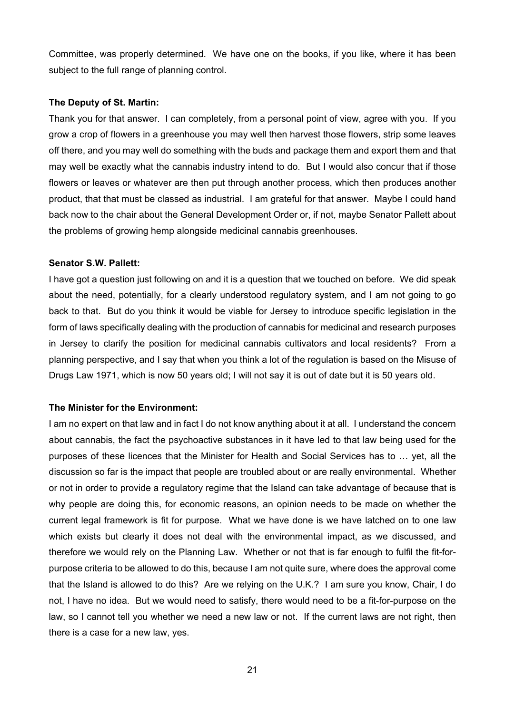Committee, was properly determined. We have one on the books, if you like, where it has been subject to the full range of planning control.

#### **The Deputy of St. Martin:**

Thank you for that answer. I can completely, from a personal point of view, agree with you. If you grow a crop of flowers in a greenhouse you may well then harvest those flowers, strip some leaves off there, and you may well do something with the buds and package them and export them and that may well be exactly what the cannabis industry intend to do. But I would also concur that if those flowers or leaves or whatever are then put through another process, which then produces another product, that that must be classed as industrial. I am grateful for that answer. Maybe I could hand back now to the chair about the General Development Order or, if not, maybe Senator Pallett about the problems of growing hemp alongside medicinal cannabis greenhouses.

#### **Senator S.W. Pallett:**

I have got a question just following on and it is a question that we touched on before. We did speak about the need, potentially, for a clearly understood regulatory system, and I am not going to go back to that. But do you think it would be viable for Jersey to introduce specific legislation in the form of laws specifically dealing with the production of cannabis for medicinal and research purposes in Jersey to clarify the position for medicinal cannabis cultivators and local residents? From a planning perspective, and I say that when you think a lot of the regulation is based on the Misuse of Drugs Law 1971, which is now 50 years old; I will not say it is out of date but it is 50 years old.

#### **The Minister for the Environment:**

I am no expert on that law and in fact I do not know anything about it at all. I understand the concern about cannabis, the fact the psychoactive substances in it have led to that law being used for the purposes of these licences that the Minister for Health and Social Services has to … yet, all the discussion so far is the impact that people are troubled about or are really environmental. Whether or not in order to provide a regulatory regime that the Island can take advantage of because that is why people are doing this, for economic reasons, an opinion needs to be made on whether the current legal framework is fit for purpose. What we have done is we have latched on to one law which exists but clearly it does not deal with the environmental impact, as we discussed, and therefore we would rely on the Planning Law. Whether or not that is far enough to fulfil the fit-forpurpose criteria to be allowed to do this, because I am not quite sure, where does the approval come that the Island is allowed to do this? Are we relying on the U.K.? I am sure you know, Chair, I do not, I have no idea. But we would need to satisfy, there would need to be a fit-for-purpose on the law, so I cannot tell you whether we need a new law or not. If the current laws are not right, then there is a case for a new law, yes.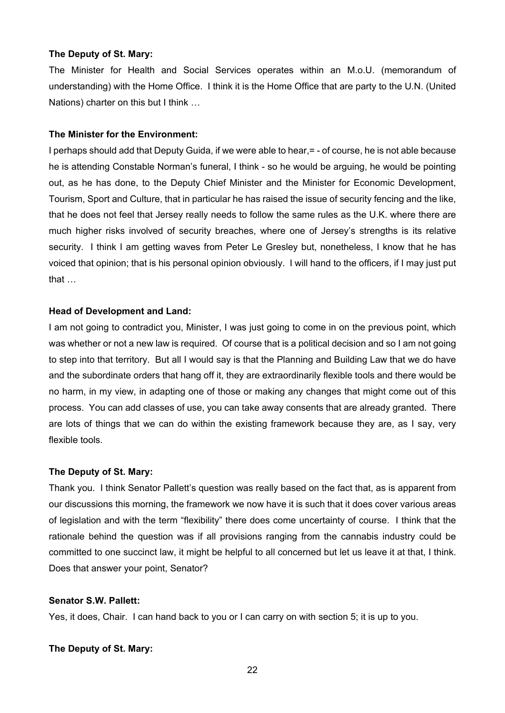#### **The Deputy of St. Mary:**

The Minister for Health and Social Services operates within an M.o.U. (memorandum of understanding) with the Home Office. I think it is the Home Office that are party to the U.N. (United Nations) charter on this but I think …

#### **The Minister for the Environment:**

I perhaps should add that Deputy Guida, if we were able to hear, = - of course, he is not able because he is attending Constable Norman's funeral, I think - so he would be arguing, he would be pointing out, as he has done, to the Deputy Chief Minister and the Minister for Economic Development, Tourism, Sport and Culture, that in particular he has raised the issue of security fencing and the like, that he does not feel that Jersey really needs to follow the same rules as the U.K. where there are much higher risks involved of security breaches, where one of Jersey's strengths is its relative security. I think I am getting waves from Peter Le Gresley but, nonetheless, I know that he has voiced that opinion; that is his personal opinion obviously. I will hand to the officers, if I may just put that …

### **Head of Development and Land:**

I am not going to contradict you, Minister, I was just going to come in on the previous point, which was whether or not a new law is required. Of course that is a political decision and so I am not going to step into that territory. But all I would say is that the Planning and Building Law that we do have and the subordinate orders that hang off it, they are extraordinarily flexible tools and there would be no harm, in my view, in adapting one of those or making any changes that might come out of this process. You can add classes of use, you can take away consents that are already granted. There are lots of things that we can do within the existing framework because they are, as I say, very flexible tools.

#### **The Deputy of St. Mary:**

Thank you. I think Senator Pallett's question was really based on the fact that, as is apparent from our discussions this morning, the framework we now have it is such that it does cover various areas of legislation and with the term "flexibility" there does come uncertainty of course. I think that the rationale behind the question was if all provisions ranging from the cannabis industry could be committed to one succinct law, it might be helpful to all concerned but let us leave it at that, I think. Does that answer your point, Senator?

## **Senator S.W. Pallett:**

Yes, it does, Chair. I can hand back to you or I can carry on with section 5; it is up to you.

#### **The Deputy of St. Mary:**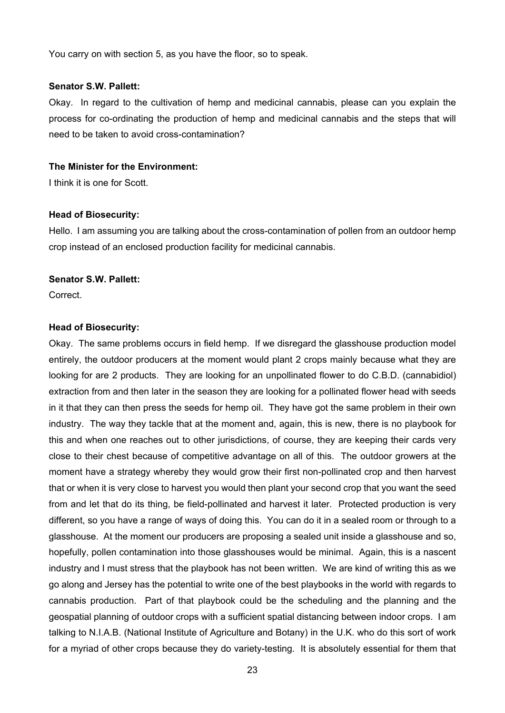You carry on with section 5, as you have the floor, so to speak.

#### **Senator S.W. Pallett:**

Okay. In regard to the cultivation of hemp and medicinal cannabis, please can you explain the process for co-ordinating the production of hemp and medicinal cannabis and the steps that will need to be taken to avoid cross-contamination?

#### **The Minister for the Environment:**

I think it is one for Scott.

#### **Head of Biosecurity:**

Hello. I am assuming you are talking about the cross-contamination of pollen from an outdoor hemp crop instead of an enclosed production facility for medicinal cannabis.

#### **Senator S.W. Pallett:**

**Correct** 

#### **Head of Biosecurity:**

Okay. The same problems occurs in field hemp. If we disregard the glasshouse production model entirely, the outdoor producers at the moment would plant 2 crops mainly because what they are looking for are 2 products. They are looking for an unpollinated flower to do C.B.D. (cannabidiol) extraction from and then later in the season they are looking for a pollinated flower head with seeds in it that they can then press the seeds for hemp oil. They have got the same problem in their own industry. The way they tackle that at the moment and, again, this is new, there is no playbook for this and when one reaches out to other jurisdictions, of course, they are keeping their cards very close to their chest because of competitive advantage on all of this. The outdoor growers at the moment have a strategy whereby they would grow their first non-pollinated crop and then harvest that or when it is very close to harvest you would then plant your second crop that you want the seed from and let that do its thing, be field-pollinated and harvest it later. Protected production is very different, so you have a range of ways of doing this. You can do it in a sealed room or through to a glasshouse. At the moment our producers are proposing a sealed unit inside a glasshouse and so, hopefully, pollen contamination into those glasshouses would be minimal. Again, this is a nascent industry and I must stress that the playbook has not been written. We are kind of writing this as we go along and Jersey has the potential to write one of the best playbooks in the world with regards to cannabis production. Part of that playbook could be the scheduling and the planning and the geospatial planning of outdoor crops with a sufficient spatial distancing between indoor crops. I am talking to N.I.A.B. (National Institute of Agriculture and Botany) in the U.K. who do this sort of work for a myriad of other crops because they do variety-testing. It is absolutely essential for them that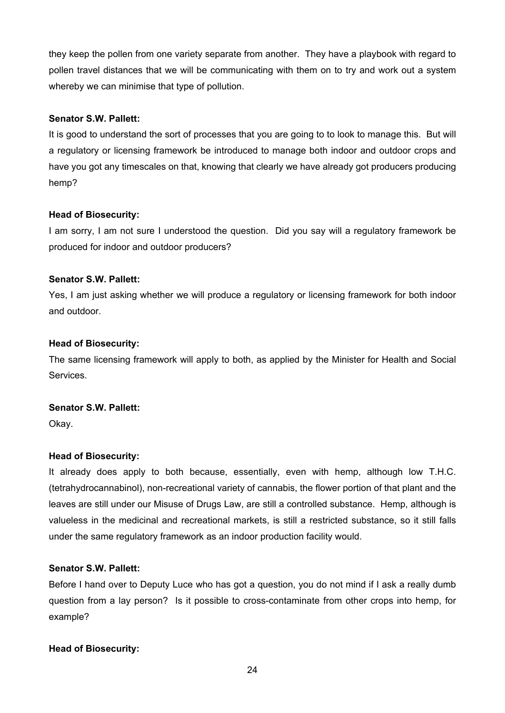they keep the pollen from one variety separate from another. They have a playbook with regard to pollen travel distances that we will be communicating with them on to try and work out a system whereby we can minimise that type of pollution.

# **Senator S.W. Pallett:**

It is good to understand the sort of processes that you are going to to look to manage this. But will a regulatory or licensing framework be introduced to manage both indoor and outdoor crops and have you got any timescales on that, knowing that clearly we have already got producers producing hemp?

# **Head of Biosecurity:**

I am sorry, I am not sure I understood the question. Did you say will a regulatory framework be produced for indoor and outdoor producers?

# **Senator S.W. Pallett:**

Yes, I am just asking whether we will produce a regulatory or licensing framework for both indoor and outdoor.

# **Head of Biosecurity:**

The same licensing framework will apply to both, as applied by the Minister for Health and Social Services.

# **Senator S.W. Pallett:**

Okay.

# **Head of Biosecurity:**

It already does apply to both because, essentially, even with hemp, although low T.H.C. (tetrahydrocannabinol), non-recreational variety of cannabis, the flower portion of that plant and the leaves are still under our Misuse of Drugs Law, are still a controlled substance. Hemp, although is valueless in the medicinal and recreational markets, is still a restricted substance, so it still falls under the same regulatory framework as an indoor production facility would.

# **Senator S.W. Pallett:**

Before I hand over to Deputy Luce who has got a question, you do not mind if I ask a really dumb question from a lay person? Is it possible to cross-contaminate from other crops into hemp, for example?

# **Head of Biosecurity:**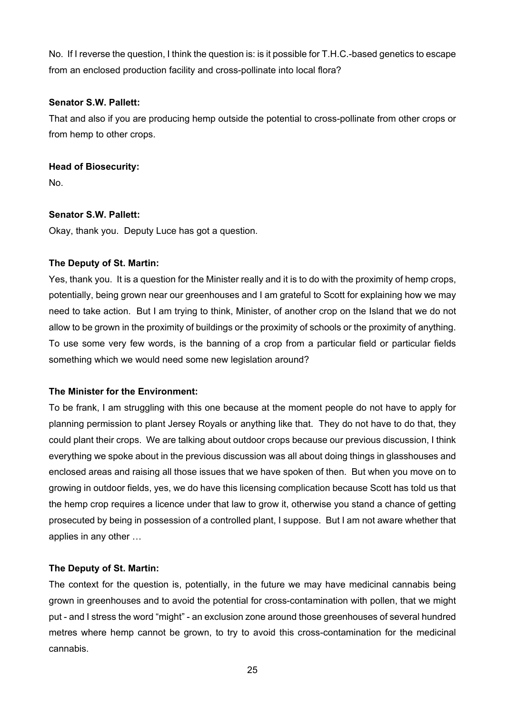No. If I reverse the question, I think the question is: is it possible for T.H.C.-based genetics to escape from an enclosed production facility and cross-pollinate into local flora?

# **Senator S.W. Pallett:**

That and also if you are producing hemp outside the potential to cross-pollinate from other crops or from hemp to other crops.

# **Head of Biosecurity:**

No.

# **Senator S.W. Pallett:**

Okay, thank you. Deputy Luce has got a question.

# **The Deputy of St. Martin:**

Yes, thank you. It is a question for the Minister really and it is to do with the proximity of hemp crops, potentially, being grown near our greenhouses and I am grateful to Scott for explaining how we may need to take action. But I am trying to think, Minister, of another crop on the Island that we do not allow to be grown in the proximity of buildings or the proximity of schools or the proximity of anything. To use some very few words, is the banning of a crop from a particular field or particular fields something which we would need some new legislation around?

# **The Minister for the Environment:**

To be frank, I am struggling with this one because at the moment people do not have to apply for planning permission to plant Jersey Royals or anything like that. They do not have to do that, they could plant their crops. We are talking about outdoor crops because our previous discussion, I think everything we spoke about in the previous discussion was all about doing things in glasshouses and enclosed areas and raising all those issues that we have spoken of then. But when you move on to growing in outdoor fields, yes, we do have this licensing complication because Scott has told us that the hemp crop requires a licence under that law to grow it, otherwise you stand a chance of getting prosecuted by being in possession of a controlled plant, I suppose. But I am not aware whether that applies in any other …

# **The Deputy of St. Martin:**

The context for the question is, potentially, in the future we may have medicinal cannabis being grown in greenhouses and to avoid the potential for cross-contamination with pollen, that we might put - and I stress the word "might" - an exclusion zone around those greenhouses of several hundred metres where hemp cannot be grown, to try to avoid this cross-contamination for the medicinal cannabis.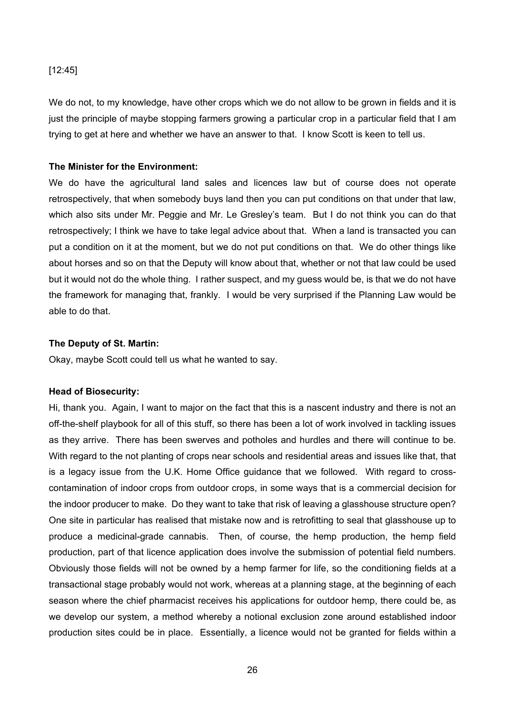#### [12:45]

We do not, to my knowledge, have other crops which we do not allow to be grown in fields and it is just the principle of maybe stopping farmers growing a particular crop in a particular field that I am trying to get at here and whether we have an answer to that. I know Scott is keen to tell us.

#### **The Minister for the Environment:**

We do have the agricultural land sales and licences law but of course does not operate retrospectively, that when somebody buys land then you can put conditions on that under that law, which also sits under Mr. Peggie and Mr. Le Gresley's team. But I do not think you can do that retrospectively; I think we have to take legal advice about that. When a land is transacted you can put a condition on it at the moment, but we do not put conditions on that. We do other things like about horses and so on that the Deputy will know about that, whether or not that law could be used but it would not do the whole thing. I rather suspect, and my guess would be, is that we do not have the framework for managing that, frankly. I would be very surprised if the Planning Law would be able to do that.

#### **The Deputy of St. Martin:**

Okay, maybe Scott could tell us what he wanted to say.

#### **Head of Biosecurity:**

Hi, thank you. Again, I want to major on the fact that this is a nascent industry and there is not an off-the-shelf playbook for all of this stuff, so there has been a lot of work involved in tackling issues as they arrive. There has been swerves and potholes and hurdles and there will continue to be. With regard to the not planting of crops near schools and residential areas and issues like that, that is a legacy issue from the U.K. Home Office guidance that we followed. With regard to crosscontamination of indoor crops from outdoor crops, in some ways that is a commercial decision for the indoor producer to make. Do they want to take that risk of leaving a glasshouse structure open? One site in particular has realised that mistake now and is retrofitting to seal that glasshouse up to produce a medicinal-grade cannabis. Then, of course, the hemp production, the hemp field production, part of that licence application does involve the submission of potential field numbers. Obviously those fields will not be owned by a hemp farmer for life, so the conditioning fields at a transactional stage probably would not work, whereas at a planning stage, at the beginning of each season where the chief pharmacist receives his applications for outdoor hemp, there could be, as we develop our system, a method whereby a notional exclusion zone around established indoor production sites could be in place. Essentially, a licence would not be granted for fields within a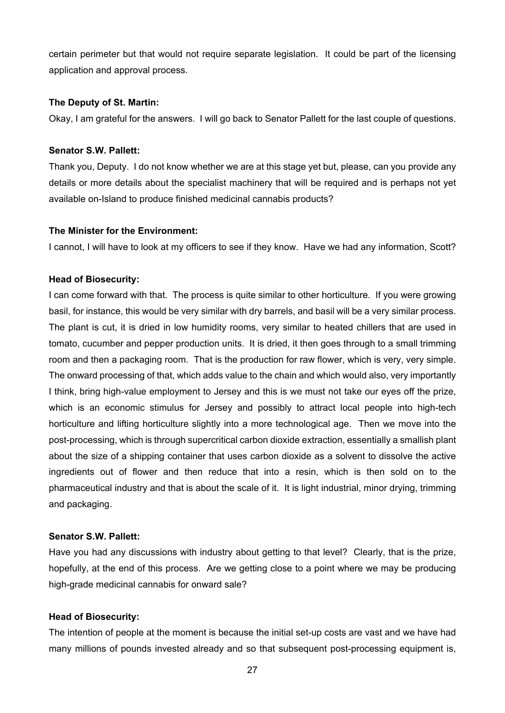certain perimeter but that would not require separate legislation. It could be part of the licensing application and approval process.

### **The Deputy of St. Martin:**

Okay, I am grateful for the answers. I will go back to Senator Pallett for the last couple of questions.

## **Senator S.W. Pallett:**

Thank you, Deputy. I do not know whether we are at this stage yet but, please, can you provide any details or more details about the specialist machinery that will be required and is perhaps not yet available on-Island to produce finished medicinal cannabis products?

#### **The Minister for the Environment:**

I cannot, I will have to look at my officers to see if they know. Have we had any information, Scott?

## **Head of Biosecurity:**

I can come forward with that. The process is quite similar to other horticulture. If you were growing basil, for instance, this would be very similar with dry barrels, and basil will be a very similar process. The plant is cut, it is dried in low humidity rooms, very similar to heated chillers that are used in tomato, cucumber and pepper production units. It is dried, it then goes through to a small trimming room and then a packaging room. That is the production for raw flower, which is very, very simple. The onward processing of that, which adds value to the chain and which would also, very importantly I think, bring high-value employment to Jersey and this is we must not take our eyes off the prize, which is an economic stimulus for Jersey and possibly to attract local people into high-tech horticulture and lifting horticulture slightly into a more technological age. Then we move into the post-processing, which is through supercritical carbon dioxide extraction, essentially a smallish plant about the size of a shipping container that uses carbon dioxide as a solvent to dissolve the active ingredients out of flower and then reduce that into a resin, which is then sold on to the pharmaceutical industry and that is about the scale of it. It is light industrial, minor drying, trimming and packaging.

## **Senator S.W. Pallett:**

Have you had any discussions with industry about getting to that level? Clearly, that is the prize, hopefully, at the end of this process. Are we getting close to a point where we may be producing high-grade medicinal cannabis for onward sale?

#### **Head of Biosecurity:**

The intention of people at the moment is because the initial set-up costs are vast and we have had many millions of pounds invested already and so that subsequent post-processing equipment is,

27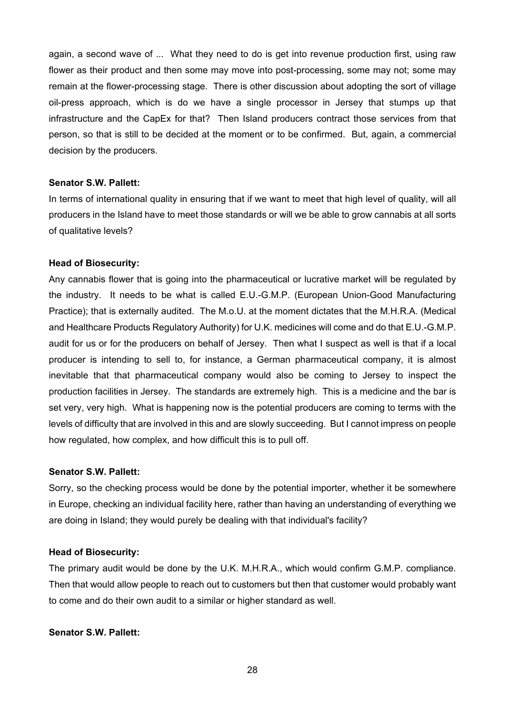again, a second wave of ... What they need to do is get into revenue production first, using raw flower as their product and then some may move into post-processing, some may not; some may remain at the flower-processing stage. There is other discussion about adopting the sort of village oil-press approach, which is do we have a single processor in Jersey that stumps up that infrastructure and the CapEx for that? Then Island producers contract those services from that person, so that is still to be decided at the moment or to be confirmed. But, again, a commercial decision by the producers.

#### **Senator S.W. Pallett:**

In terms of international quality in ensuring that if we want to meet that high level of quality, will all producers in the Island have to meet those standards or will we be able to grow cannabis at all sorts of qualitative levels?

#### **Head of Biosecurity:**

Any cannabis flower that is going into the pharmaceutical or lucrative market will be regulated by the industry. It needs to be what is called E.U.-G.M.P. (European Union-Good Manufacturing Practice); that is externally audited. The M.o.U. at the moment dictates that the M.H.R.A. (Medical and Healthcare Products Regulatory Authority) for U.K. medicines will come and do that E.U.-G.M.P. audit for us or for the producers on behalf of Jersey. Then what I suspect as well is that if a local producer is intending to sell to, for instance, a German pharmaceutical company, it is almost inevitable that that pharmaceutical company would also be coming to Jersey to inspect the production facilities in Jersey. The standards are extremely high. This is a medicine and the bar is set very, very high. What is happening now is the potential producers are coming to terms with the levels of difficulty that are involved in this and are slowly succeeding. But I cannot impress on people how regulated, how complex, and how difficult this is to pull off.

#### **Senator S.W. Pallett:**

Sorry, so the checking process would be done by the potential importer, whether it be somewhere in Europe, checking an individual facility here, rather than having an understanding of everything we are doing in Island; they would purely be dealing with that individual's facility?

## **Head of Biosecurity:**

The primary audit would be done by the U.K. M.H.R.A., which would confirm G.M.P. compliance. Then that would allow people to reach out to customers but then that customer would probably want to come and do their own audit to a similar or higher standard as well.

## **Senator S.W. Pallett:**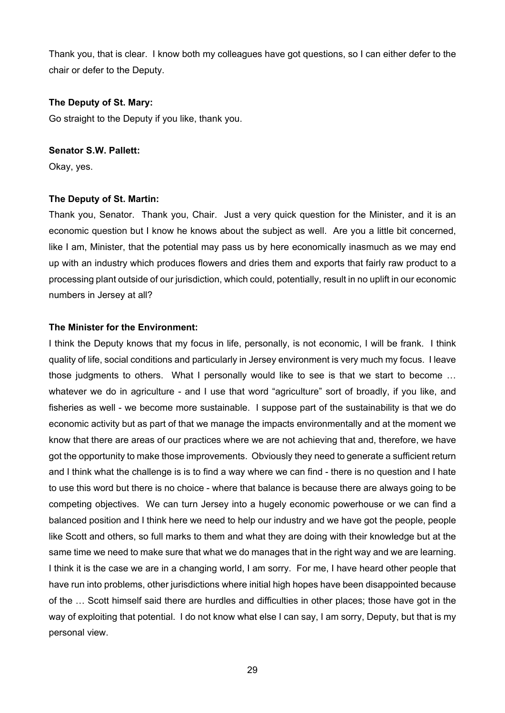Thank you, that is clear. I know both my colleagues have got questions, so I can either defer to the chair or defer to the Deputy.

## **The Deputy of St. Mary:**

Go straight to the Deputy if you like, thank you.

## **Senator S.W. Pallett:**

Okay, yes.

# **The Deputy of St. Martin:**

Thank you, Senator. Thank you, Chair. Just a very quick question for the Minister, and it is an economic question but I know he knows about the subject as well. Are you a little bit concerned, like I am, Minister, that the potential may pass us by here economically inasmuch as we may end up with an industry which produces flowers and dries them and exports that fairly raw product to a processing plant outside of our jurisdiction, which could, potentially, result in no uplift in our economic numbers in Jersey at all?

# **The Minister for the Environment:**

I think the Deputy knows that my focus in life, personally, is not economic, I will be frank. I think quality of life, social conditions and particularly in Jersey environment is very much my focus. I leave those judgments to others. What I personally would like to see is that we start to become … whatever we do in agriculture - and I use that word "agriculture" sort of broadly, if you like, and fisheries as well - we become more sustainable. I suppose part of the sustainability is that we do economic activity but as part of that we manage the impacts environmentally and at the moment we know that there are areas of our practices where we are not achieving that and, therefore, we have got the opportunity to make those improvements. Obviously they need to generate a sufficient return and I think what the challenge is is to find a way where we can find - there is no question and I hate to use this word but there is no choice - where that balance is because there are always going to be competing objectives. We can turn Jersey into a hugely economic powerhouse or we can find a balanced position and I think here we need to help our industry and we have got the people, people like Scott and others, so full marks to them and what they are doing with their knowledge but at the same time we need to make sure that what we do manages that in the right way and we are learning. I think it is the case we are in a changing world, I am sorry. For me, I have heard other people that have run into problems, other jurisdictions where initial high hopes have been disappointed because of the … Scott himself said there are hurdles and difficulties in other places; those have got in the way of exploiting that potential. I do not know what else I can say, I am sorry, Deputy, but that is my personal view.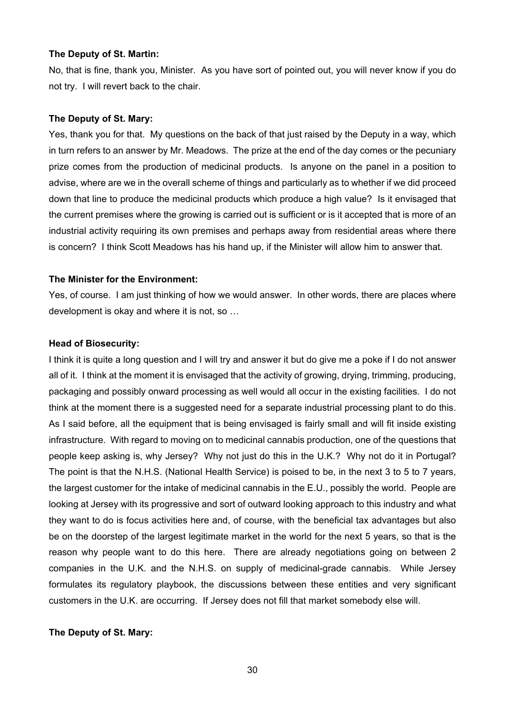#### **The Deputy of St. Martin:**

No, that is fine, thank you, Minister. As you have sort of pointed out, you will never know if you do not try. I will revert back to the chair.

## **The Deputy of St. Mary:**

Yes, thank you for that. My questions on the back of that just raised by the Deputy in a way, which in turn refers to an answer by Mr. Meadows. The prize at the end of the day comes or the pecuniary prize comes from the production of medicinal products. Is anyone on the panel in a position to advise, where are we in the overall scheme of things and particularly as to whether if we did proceed down that line to produce the medicinal products which produce a high value? Is it envisaged that the current premises where the growing is carried out is sufficient or is it accepted that is more of an industrial activity requiring its own premises and perhaps away from residential areas where there is concern? I think Scott Meadows has his hand up, if the Minister will allow him to answer that.

#### **The Minister for the Environment:**

Yes, of course. I am just thinking of how we would answer. In other words, there are places where development is okay and where it is not, so …

#### **Head of Biosecurity:**

I think it is quite a long question and I will try and answer it but do give me a poke if I do not answer all of it. I think at the moment it is envisaged that the activity of growing, drying, trimming, producing, packaging and possibly onward processing as well would all occur in the existing facilities. I do not think at the moment there is a suggested need for a separate industrial processing plant to do this. As I said before, all the equipment that is being envisaged is fairly small and will fit inside existing infrastructure. With regard to moving on to medicinal cannabis production, one of the questions that people keep asking is, why Jersey? Why not just do this in the U.K.? Why not do it in Portugal? The point is that the N.H.S. (National Health Service) is poised to be, in the next 3 to 5 to 7 years, the largest customer for the intake of medicinal cannabis in the E.U., possibly the world. People are looking at Jersey with its progressive and sort of outward looking approach to this industry and what they want to do is focus activities here and, of course, with the beneficial tax advantages but also be on the doorstep of the largest legitimate market in the world for the next 5 years, so that is the reason why people want to do this here. There are already negotiations going on between 2 companies in the U.K. and the N.H.S. on supply of medicinal-grade cannabis. While Jersey formulates its regulatory playbook, the discussions between these entities and very significant customers in the U.K. are occurring. If Jersey does not fill that market somebody else will.

#### **The Deputy of St. Mary:**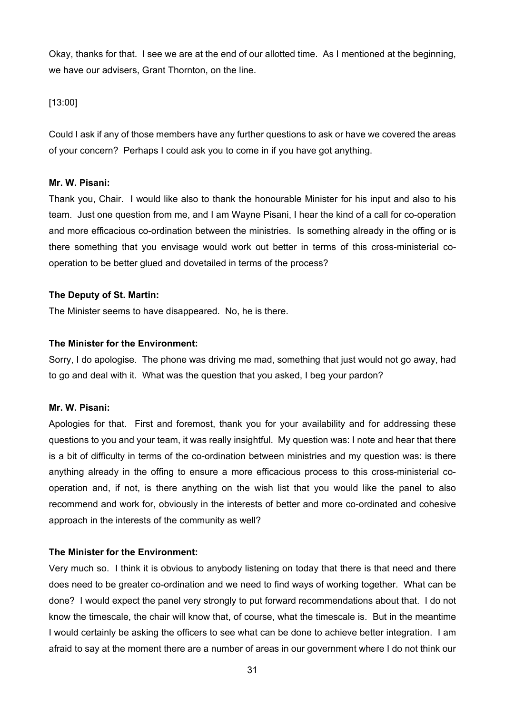Okay, thanks for that. I see we are at the end of our allotted time. As I mentioned at the beginning, we have our advisers, Grant Thornton, on the line.

[13:00]

Could I ask if any of those members have any further questions to ask or have we covered the areas of your concern? Perhaps I could ask you to come in if you have got anything.

# **Mr. W. Pisani:**

Thank you, Chair. I would like also to thank the honourable Minister for his input and also to his team. Just one question from me, and I am Wayne Pisani, I hear the kind of a call for co-operation and more efficacious co-ordination between the ministries. Is something already in the offing or is there something that you envisage would work out better in terms of this cross-ministerial cooperation to be better glued and dovetailed in terms of the process?

# **The Deputy of St. Martin:**

The Minister seems to have disappeared. No, he is there.

# **The Minister for the Environment:**

Sorry, I do apologise. The phone was driving me mad, something that just would not go away, had to go and deal with it. What was the question that you asked, I beg your pardon?

# **Mr. W. Pisani:**

Apologies for that. First and foremost, thank you for your availability and for addressing these questions to you and your team, it was really insightful. My question was: I note and hear that there is a bit of difficulty in terms of the co-ordination between ministries and my question was: is there anything already in the offing to ensure a more efficacious process to this cross-ministerial cooperation and, if not, is there anything on the wish list that you would like the panel to also recommend and work for, obviously in the interests of better and more co-ordinated and cohesive approach in the interests of the community as well?

# **The Minister for the Environment:**

Very much so. I think it is obvious to anybody listening on today that there is that need and there does need to be greater co-ordination and we need to find ways of working together. What can be done? I would expect the panel very strongly to put forward recommendations about that. I do not know the timescale, the chair will know that, of course, what the timescale is. But in the meantime I would certainly be asking the officers to see what can be done to achieve better integration. I am afraid to say at the moment there are a number of areas in our government where I do not think our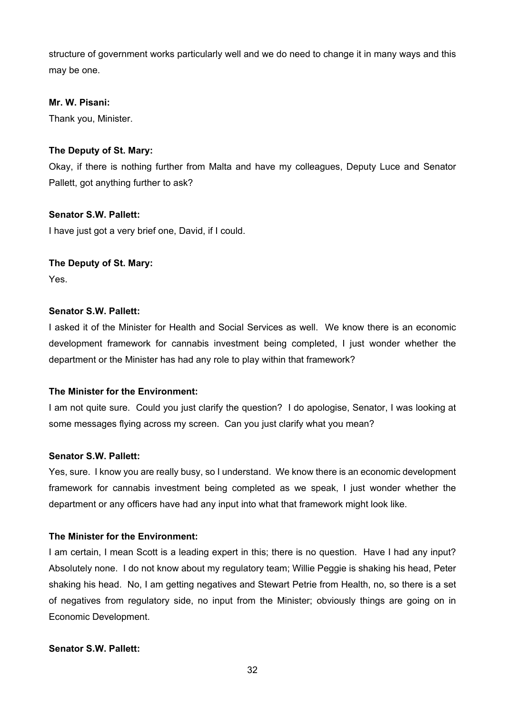structure of government works particularly well and we do need to change it in many ways and this may be one.

# **Mr. W. Pisani:**

Thank you, Minister.

# **The Deputy of St. Mary:**

Okay, if there is nothing further from Malta and have my colleagues, Deputy Luce and Senator Pallett, got anything further to ask?

# **Senator S.W. Pallett:**

I have just got a very brief one, David, if I could.

# **The Deputy of St. Mary:**

Yes.

# **Senator S.W. Pallett:**

I asked it of the Minister for Health and Social Services as well. We know there is an economic development framework for cannabis investment being completed, I just wonder whether the department or the Minister has had any role to play within that framework?

# **The Minister for the Environment:**

I am not quite sure. Could you just clarify the question? I do apologise, Senator, I was looking at some messages flying across my screen. Can you just clarify what you mean?

# **Senator S.W. Pallett:**

Yes, sure. I know you are really busy, so I understand. We know there is an economic development framework for cannabis investment being completed as we speak, I just wonder whether the department or any officers have had any input into what that framework might look like.

# **The Minister for the Environment:**

I am certain, I mean Scott is a leading expert in this; there is no question. Have I had any input? Absolutely none. I do not know about my regulatory team; Willie Peggie is shaking his head, Peter shaking his head. No, I am getting negatives and Stewart Petrie from Health, no, so there is a set of negatives from regulatory side, no input from the Minister; obviously things are going on in Economic Development.

# **Senator S.W. Pallett:**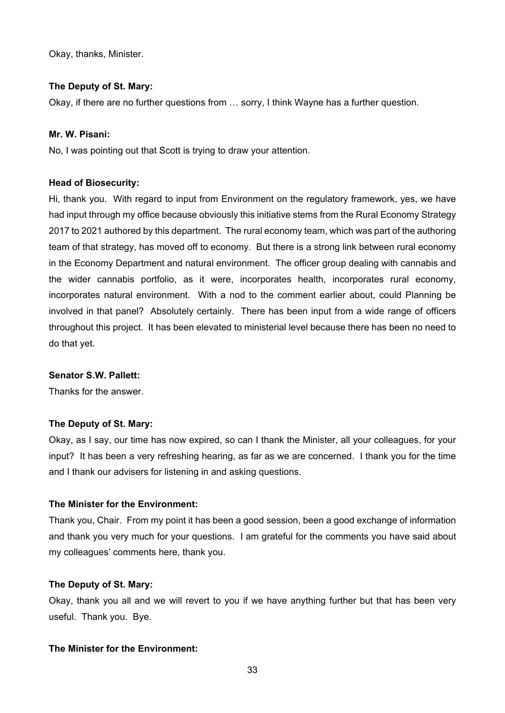Okay, thanks, Minister.

#### **The Deputy of St. Mary:**

Okay, if there are no further questions from … sorry, I think Wayne has a further question.

## **Mr. W. Pisani:**

No, I was pointing out that Scott is trying to draw your attention.

#### **Head of Biosecurity:**

Hi, thank you. With regard to input from Environment on the regulatory framework, yes, we have had input through my office because obviously this initiative stems from the Rural Economy Strategy 2017 to 2021 authored by this department. The rural economy team, which was part of the authoring team of that strategy, has moved off to economy. But there is a strong link between rural economy in the Economy Department and natural environment. The officer group dealing with cannabis and the wider cannabis portfolio, as it were, incorporates health, incorporates rural economy, incorporates natural environment. With a nod to the comment earlier about, could Planning be involved in that panel? Absolutely certainly. There has been input from a wide range of officers throughout this project. It has been elevated to ministerial level because there has been no need to do that yet.

#### **Senator S.W. Pallett:**

Thanks for the answer.

#### **The Deputy of St. Mary:**

Okay, as I say, our time has now expired, so can I thank the Minister, all your colleagues, for your input? It has been a very refreshing hearing, as far as we are concerned. I thank you for the time and I thank our advisers for listening in and asking questions.

#### **The Minister for the Environment:**

Thank you, Chair. From my point it has been a good session, been a good exchange of information and thank you very much for your questions. I am grateful for the comments you have said about my colleagues' comments here, thank you.

#### **The Deputy of St. Mary:**

Okay, thank you all and we will revert to you if we have anything further but that has been very useful. Thank you. Bye.

# **The Minister for the Environment:**